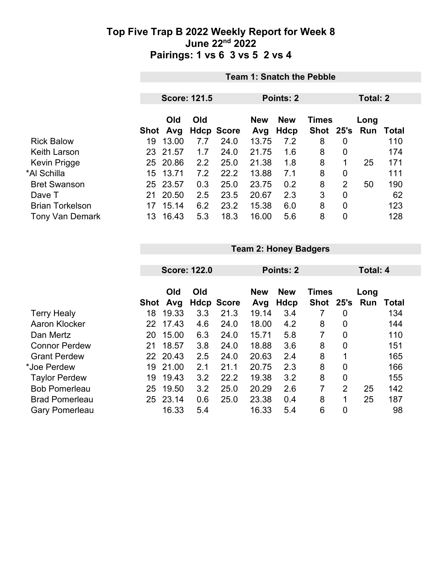|                        |    | <b>Team 1: Snatch the Pebble</b> |                     |                   |                                          |           |               |                |      |       |  |  |
|------------------------|----|----------------------------------|---------------------|-------------------|------------------------------------------|-----------|---------------|----------------|------|-------|--|--|
|                        |    |                                  | <b>Score: 121.5</b> |                   |                                          | Points: 2 |               | Total: 2       |      |       |  |  |
|                        |    | Old<br>Old                       |                     |                   | <b>New</b><br><b>Times</b><br><b>New</b> |           |               |                | Long |       |  |  |
|                        |    | Shot Avg                         |                     | <b>Hdcp Score</b> | Avg                                      | Hdcp      | Shot 25's Run |                |      | Total |  |  |
| <b>Rick Balow</b>      | 19 | 13.00                            | 7.7                 | 24.0              | 13.75                                    | 7.2       | 8             | 0              |      | 110   |  |  |
| <b>Keith Larson</b>    |    | 23 21.57                         | 1.7                 | 24.0              | 21.75                                    | 1.6       | 8             | 0              |      | 174   |  |  |
| <b>Kevin Prigge</b>    | 25 | 20.86                            | 2.2                 | 25.0              | 21.38                                    | 1.8       | 8             | 1              | 25   | 171   |  |  |
| *Al Schilla            | 15 | 13.71                            | 7.2                 | 22.2              | 13.88                                    | 7.1       | 8             | 0              |      | 111   |  |  |
| <b>Bret Swanson</b>    | 25 | 23.57                            | 0.3                 | 25.0              | 23.75                                    | 0.2       | 8             | $\overline{2}$ | 50   | 190   |  |  |
| Dave T                 | 21 | 20.50                            | 2.5                 | 23.5              | 20.67                                    | 2.3       | 3             | 0              |      | 62    |  |  |
| <b>Brian Torkelson</b> | 17 | 15.14                            | 6.2                 | 23.2              | 15.38                                    | 6.0       | 8             | 0              |      | 123   |  |  |
| <b>Tony Van Demark</b> | 13 | 16.43                            | 5.3                 | 18.3              | 16.00                                    | 5.6       | 8             | 0              |      | 128   |  |  |

|  |  |  | <b>Team 2: Honey Badgers</b> |
|--|--|--|------------------------------|
|--|--|--|------------------------------|

|                       |      | <b>Score: 122.0</b> |     |                   | <b>Points: 2</b> |            |              |                | Total: 4 |              |  |
|-----------------------|------|---------------------|-----|-------------------|------------------|------------|--------------|----------------|----------|--------------|--|
|                       |      | Old                 | Old |                   | <b>New</b>       | <b>New</b> | <b>Times</b> |                | Long     |              |  |
|                       | Shot | Avg                 |     | <b>Hdcp Score</b> | Avg              | Hdcp       | Shot 25's    |                | Run      | <b>Total</b> |  |
| <b>Terry Healy</b>    | 18   | 19.33               | 3.3 | 21.3              | 19.14            | 3.4        |              | 0              |          | 134          |  |
| Aaron Klocker         |      | 22 17.43            | 4.6 | 24.0              | 18.00            | 4.2        | 8            | 0              |          | 144          |  |
| Dan Mertz             | 20   | 15.00               | 6.3 | 24.0              | 15.71            | 5.8        | 7            | $\overline{0}$ |          | 110          |  |
| <b>Connor Perdew</b>  | 21   | 18.57               | 3.8 | 24.0              | 18.88            | 3.6        | 8            | 0              |          | 151          |  |
| <b>Grant Perdew</b>   |      | 22 20.43            | 2.5 | 24.0              | 20.63            | 2.4        | 8            | 1              |          | 165          |  |
| *Joe Perdew           | 19   | 21.00               | 2.1 | 21.1              | 20.75            | 2.3        | 8            | $\overline{0}$ |          | 166          |  |
| <b>Taylor Perdew</b>  | 19   | 19.43               | 3.2 | 22.2              | 19.38            | 3.2        | 8            | $\overline{0}$ |          | 155          |  |
| <b>Bob Pomerleau</b>  | 25   | 19.50               | 3.2 | 25.0              | 20.29            | 2.6        | 7            | $\overline{2}$ | 25       | 142          |  |
| <b>Brad Pomerleau</b> | 25   | 23.14               | 0.6 | 25.0              | 23.38            | 0.4        | 8            | 1              | 25       | 187          |  |
| <b>Gary Pomerleau</b> |      | 16.33               | 5.4 |                   | 16.33            | 5.4        | 6            | $\overline{0}$ |          | 98           |  |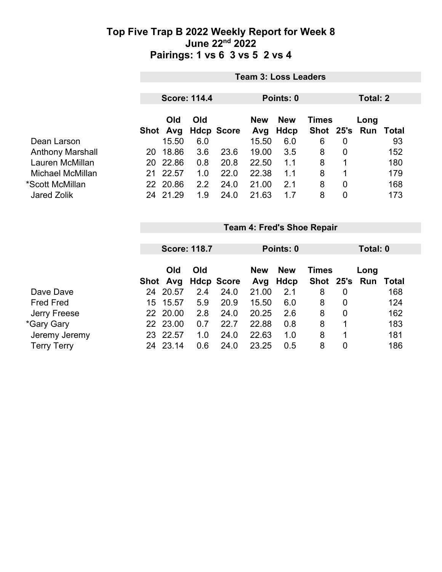|                         |     | <b>Team 3: Loss Leaders</b> |                     |                   |                   |                    |              |   |                             |     |  |  |
|-------------------------|-----|-----------------------------|---------------------|-------------------|-------------------|--------------------|--------------|---|-----------------------------|-----|--|--|
|                         |     |                             | <b>Score: 114.4</b> |                   | Points: 0         |                    |              |   | Total: 2                    |     |  |  |
|                         |     | <b>Old</b><br>Shot Avg      | Old                 | <b>Hdcp Score</b> | <b>New</b><br>Avg | <b>New</b><br>Hdcp | <b>Times</b> |   | Long<br>Shot 25's Run Total |     |  |  |
| Dean Larson             |     | 15.50                       | 6.0                 |                   | 15.50             | 6.0                | 6            | 0 |                             | 93  |  |  |
| <b>Anthony Marshall</b> | 20  | 18.86                       | 3.6                 | 23.6              | 19.00             | 3.5                | 8            | 0 |                             | 152 |  |  |
| Lauren McMillan         | 20. | 22.86                       | 0.8                 | 20.8              | 22.50             | 1.1                | 8            |   |                             | 180 |  |  |
| Michael McMillan        | 21  | 22.57                       | 1.0                 | 22.0              | 22.38             | 1.1                | 8            |   |                             | 179 |  |  |
| *Scott McMillan         |     | 22 20.86                    | 2.2                 | 24.0              | 21.00             | 2.1                | 8            | 0 |                             | 168 |  |  |
| Jared Zolik             | 24  | 21.29                       | 1.9                 | 24.0              | 21.63             | 1.7                | 8            | 0 |                             | 173 |  |  |

|                    |      | <b>Score: 118.7</b> |     |                   |                                          | Points: 0 |               |   | Total: 0 |       |  |
|--------------------|------|---------------------|-----|-------------------|------------------------------------------|-----------|---------------|---|----------|-------|--|
|                    |      | Old                 | Old |                   | <b>New</b><br><b>New</b><br><b>Times</b> |           |               |   |          |       |  |
|                    | Shot | Avg                 |     | <b>Hdcp Score</b> | Avg                                      | Hdcp      | Shot 25's Run |   | Long     | Total |  |
| Dave Dave          | 24   | 20.57               | 2.4 | 24.0              | 21.00                                    | 2.1       | 8             | 0 |          | 168   |  |
| <b>Fred Fred</b>   | 15   | 15.57               | 5.9 | 20.9              | 15.50                                    | 6.0       | 8             | 0 |          | 124   |  |
| Jerry Freese       |      | 22 20.00            | 2.8 | 24.0              | 20.25                                    | 2.6       | 8             | 0 |          | 162   |  |
| *Gary Gary         |      | 22 23.00            | 0.7 | 22.7              | 22.88                                    | 0.8       | 8             |   |          | 183   |  |
| Jeremy Jeremy      | 23   | 22.57               | 1.0 | 24.0              | 22.63                                    | 1.0       | 8             |   |          | 181   |  |
| <b>Terry Terry</b> | 24   | 23.14               | 0.6 | 24.0              | 23.25                                    | 0.5       | 8             | 0 |          | 186   |  |

**Team 4: Fred's Shoe Repair**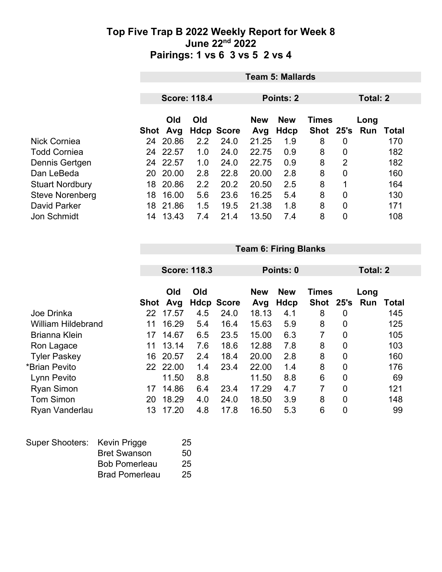|                        |      | <b>Team 5: Mallards</b> |     |                   |                                          |      |      |                |          |       |  |  |
|------------------------|------|-------------------------|-----|-------------------|------------------------------------------|------|------|----------------|----------|-------|--|--|
|                        |      | <b>Score: 118.4</b>     |     |                   | Points: 2                                |      |      |                | Total: 2 |       |  |  |
|                        |      | Old<br>Old              |     |                   | <b>New</b><br><b>New</b><br><b>Times</b> |      |      |                | Long     |       |  |  |
|                        | Shot | Avg                     |     | <b>Hdcp Score</b> | Avg                                      | Hdcp | Shot | 25's           | Run      | Total |  |  |
| Nick Corniea           | 24   | 20.86                   | 2.2 | 24.0              | 21.25                                    | 1.9  | 8    | 0              |          | 170   |  |  |
| <b>Todd Corniea</b>    | 24   | 22.57                   | 1.0 | 24.0              | 22.75                                    | 0.9  | 8    | 0              |          | 182   |  |  |
| Dennis Gertgen         | 24   | 22.57                   | 1.0 | 24.0              | 22.75                                    | 0.9  | 8    | $\overline{2}$ |          | 182   |  |  |
| Dan LeBeda             | 20.  | 20.00                   | 2.8 | 22.8              | 20.00                                    | 2.8  | 8    | $\overline{0}$ |          | 160   |  |  |
| <b>Stuart Nordbury</b> | 18   | 20.86                   | 2.2 | 20.2              | 20.50                                    | 2.5  | 8    | 1              |          | 164   |  |  |
| <b>Steve Norenberg</b> | 18   | 16.00                   | 5.6 | 23.6              | 16.25                                    | 5.4  | 8    | 0              |          | 130   |  |  |
| David Parker           | 18   | 21.86                   | 1.5 | 19.5              | 21.38                                    | 1.8  | 8    | 0              |          | 171   |  |  |
| Jon Schmidt            | 14   | 13.43                   | 7.4 | 21.4              | 13.50                                    | 7.4  | 8    | 0              |          | 108   |  |  |

**Team 6: Firing Blanks**

|                           |      |            | <b>Score: 118.3</b> |                   |            | Points: 0  |                |                | Total: 2 |       |  |
|---------------------------|------|------------|---------------------|-------------------|------------|------------|----------------|----------------|----------|-------|--|
|                           |      | Old<br>Old |                     |                   | <b>New</b> | <b>New</b> | <b>Times</b>   |                | Long     |       |  |
|                           | Shot | Avg        |                     | <b>Hdcp Score</b> | Avg        | Hdcp       | <b>Shot</b>    | 25's           | Run      | Total |  |
| Joe Drinka                | 22   | 17.57      | 4.5                 | 24.0              | 18.13      | 4.1        | 8              | 0              |          | 145   |  |
| <b>William Hildebrand</b> | 11   | 16.29      | 5.4                 | 16.4              | 15.63      | 5.9        | 8              | 0              |          | 125   |  |
| <b>Brianna Klein</b>      | 17   | 14.67      | 6.5                 | 23.5              | 15.00      | 6.3        | $\overline{7}$ | $\overline{0}$ |          | 105   |  |
| Ron Lagace                | 11   | 13.14      | 7.6                 | 18.6              | 12.88      | 7.8        | 8              | 0              |          | 103   |  |
| <b>Tyler Paskey</b>       | 16   | 20.57      | 2.4                 | 18.4              | 20.00      | 2.8        | 8              | $\overline{0}$ |          | 160   |  |
| *Brian Pevito             |      | 22 22.00   | 1.4                 | 23.4              | 22.00      | 1.4        | 8              | 0              |          | 176   |  |
| Lynn Pevito               |      | 11.50      | 8.8                 |                   | 11.50      | 8.8        | 6              | 0              |          | 69    |  |
| <b>Ryan Simon</b>         | 17   | 14.86      | 6.4                 | 23.4              | 17.29      | 4.7        | 7              | $\overline{0}$ |          | 121   |  |
| <b>Tom Simon</b>          | 20   | 18.29      | 4.0                 | 24.0              | 18.50      | 3.9        | 8              | $\mathbf 0$    |          | 148   |  |
| Ryan Vanderlau            | 13   | 17.20      | 4.8                 | 17.8              | 16.50      | 5.3        | 6              | $\overline{0}$ |          | 99    |  |

| Super Shooters: Kevin Prigge |                       | 25 |
|------------------------------|-----------------------|----|
|                              | <b>Bret Swanson</b>   | 50 |
|                              | <b>Bob Pomerleau</b>  | 25 |
|                              | <b>Brad Pomerleau</b> | 25 |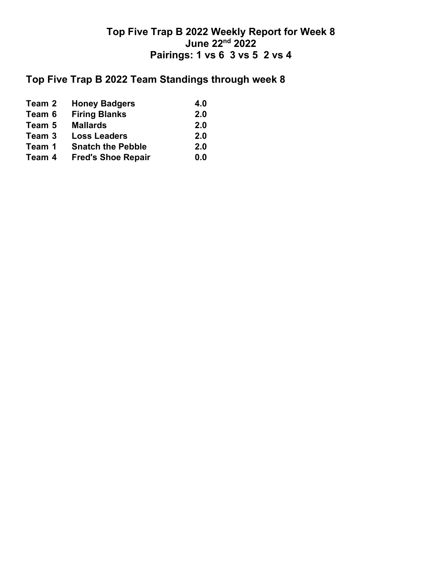# **Top Five Trap B 2022 Team Standings through week 8**

| Team 2 | <b>Honey Badgers</b>      | 4.0 |
|--------|---------------------------|-----|
| Team 6 | <b>Firing Blanks</b>      | 2.0 |
| Team 5 | <b>Mallards</b>           | 2.0 |
| Team 3 | <b>Loss Leaders</b>       | 2.0 |
| Team 1 | <b>Snatch the Pebble</b>  | 2.0 |
| Team 4 | <b>Fred's Shoe Repair</b> | 0.0 |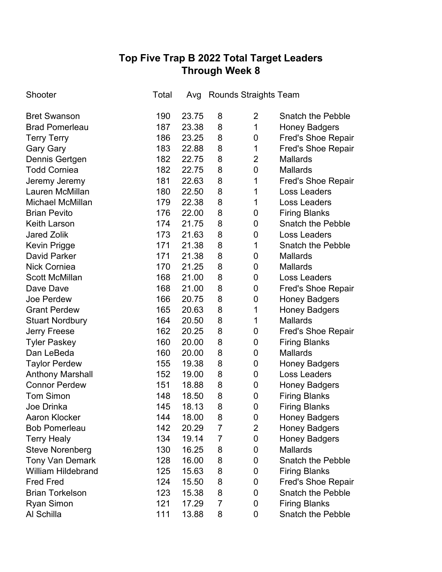# **Top Five Trap B 2022 Total Target Leaders Through Week 8**

| Shooter                   | Total | Avg   |                | Rounds Straights Team |                           |
|---------------------------|-------|-------|----------------|-----------------------|---------------------------|
| <b>Bret Swanson</b>       | 190   | 23.75 | 8              | $\overline{2}$        | <b>Snatch the Pebble</b>  |
| <b>Brad Pomerleau</b>     | 187   | 23.38 | 8              | 1                     | <b>Honey Badgers</b>      |
| <b>Terry Terry</b>        | 186   | 23.25 | 8              | 0                     | <b>Fred's Shoe Repair</b> |
| <b>Gary Gary</b>          | 183   | 22.88 | 8              | 1                     | <b>Fred's Shoe Repair</b> |
| Dennis Gertgen            | 182   | 22.75 | 8              | $\overline{2}$        | <b>Mallards</b>           |
| <b>Todd Corniea</b>       | 182   | 22.75 | 8              | $\mathbf 0$           | <b>Mallards</b>           |
| Jeremy Jeremy             | 181   | 22.63 | 8              | 1                     | <b>Fred's Shoe Repair</b> |
| Lauren McMillan           | 180   | 22.50 | 8              | 1                     | Loss Leaders              |
| <b>Michael McMillan</b>   | 179   | 22.38 | 8              | 1                     | <b>Loss Leaders</b>       |
| <b>Brian Pevito</b>       | 176   | 22.00 | 8              | 0                     | <b>Firing Blanks</b>      |
| <b>Keith Larson</b>       | 174   | 21.75 | 8              | 0                     | <b>Snatch the Pebble</b>  |
| <b>Jared Zolik</b>        | 173   | 21.63 | 8              | $\mathbf 0$           | <b>Loss Leaders</b>       |
| Kevin Prigge              | 171   | 21.38 | 8              | 1                     | <b>Snatch the Pebble</b>  |
| <b>David Parker</b>       | 171   | 21.38 | 8              | 0                     | <b>Mallards</b>           |
| <b>Nick Corniea</b>       | 170   | 21.25 | 8              | 0                     | <b>Mallards</b>           |
| <b>Scott McMillan</b>     | 168   | 21.00 | 8              | $\mathbf 0$           | Loss Leaders              |
| Dave Dave                 | 168   | 21.00 | 8              | 0                     | <b>Fred's Shoe Repair</b> |
| Joe Perdew                | 166   | 20.75 | 8              | $\mathbf 0$           | <b>Honey Badgers</b>      |
| <b>Grant Perdew</b>       | 165   | 20.63 | 8              | 1                     | <b>Honey Badgers</b>      |
| <b>Stuart Nordbury</b>    | 164   | 20.50 | 8              | 1                     | <b>Mallards</b>           |
| <b>Jerry Freese</b>       | 162   | 20.25 | 8              | 0                     | <b>Fred's Shoe Repair</b> |
| <b>Tyler Paskey</b>       | 160   | 20.00 | 8              | 0                     | <b>Firing Blanks</b>      |
| Dan LeBeda                | 160   | 20.00 | 8              | 0                     | <b>Mallards</b>           |
| <b>Taylor Perdew</b>      | 155   | 19.38 | 8              | 0                     | <b>Honey Badgers</b>      |
| <b>Anthony Marshall</b>   | 152   | 19.00 | 8              | 0                     | <b>Loss Leaders</b>       |
| <b>Connor Perdew</b>      | 151   | 18.88 | 8              | 0                     | <b>Honey Badgers</b>      |
| <b>Tom Simon</b>          | 148   | 18.50 | 8              | 0                     | <b>Firing Blanks</b>      |
| Joe Drinka                | 145   | 18.13 | 8              | $\mathbf 0$           | <b>Firing Blanks</b>      |
| <b>Aaron Klocker</b>      | 144   | 18.00 | 8              | 0                     | <b>Honey Badgers</b>      |
| <b>Bob Pomerleau</b>      | 142   | 20.29 | 7              | 2                     | <b>Honey Badgers</b>      |
| <b>Terry Healy</b>        | 134   | 19.14 | $\overline{7}$ | 0                     | <b>Honey Badgers</b>      |
| <b>Steve Norenberg</b>    | 130   | 16.25 | 8              | 0                     | <b>Mallards</b>           |
| <b>Tony Van Demark</b>    | 128   | 16.00 | 8              | 0                     | <b>Snatch the Pebble</b>  |
| <b>William Hildebrand</b> | 125   | 15.63 | 8              | 0                     | <b>Firing Blanks</b>      |
| <b>Fred Fred</b>          | 124   | 15.50 | 8              | 0                     | <b>Fred's Shoe Repair</b> |
| <b>Brian Torkelson</b>    | 123   | 15.38 | 8              | 0                     | <b>Snatch the Pebble</b>  |
| <b>Ryan Simon</b>         | 121   | 17.29 | $\overline{7}$ | 0                     | <b>Firing Blanks</b>      |
| Al Schilla                | 111   | 13.88 | 8              | 0                     | <b>Snatch the Pebble</b>  |